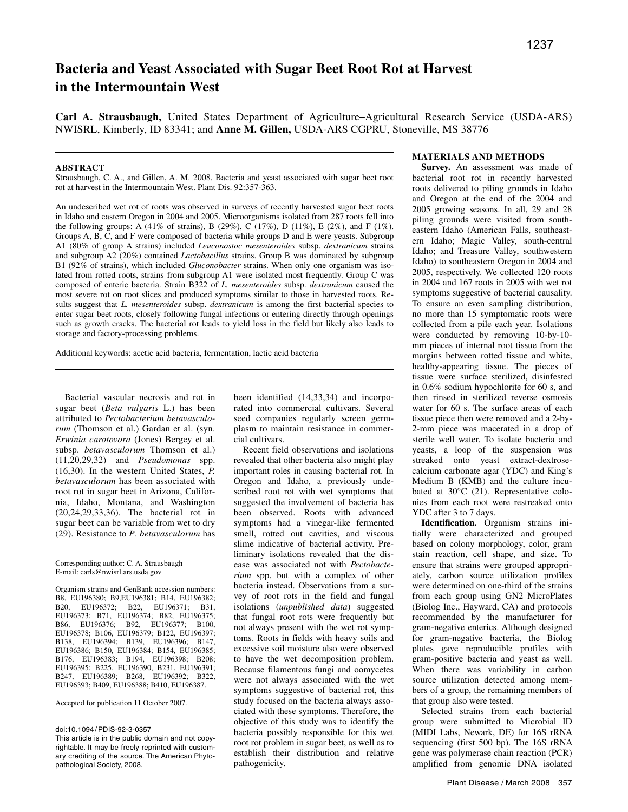# **Bacteria and Yeast Associated with Sugar Beet Root Rot at Harvest in the Intermountain West**

**Carl A. Strausbaugh,** United States Department of Agriculture–Agricultural Research Service (USDA-ARS) NWISRL, Kimberly, ID 83341; and **Anne M. Gillen,** USDA-ARS CGPRU, Stoneville, MS 38776

## **ABSTRACT**

Strausbaugh, C. A., and Gillen, A. M. 2008. Bacteria and yeast associated with sugar beet root rot at harvest in the Intermountain West. Plant Dis. 92:357-363.

An undescribed wet rot of roots was observed in surveys of recently harvested sugar beet roots in Idaho and eastern Oregon in 2004 and 2005. Microorganisms isolated from 287 roots fell into the following groups: A  $(41\%$  of strains), B  $(29\%)$ , C  $(17\%)$ , D  $(11\%)$ , E  $(2\%)$ , and F  $(1\%)$ . Groups A, B, C, and F were composed of bacteria while groups D and E were yeasts. Subgroup A1 (80% of group A strains) included *Leuconostoc mesenteroides* subsp. *dextranicum* strains and subgroup A2 (20%) contained *Lactobacillus* strains. Group B was dominated by subgroup B1 (92% of strains), which included *Gluconobacter* strains. When only one organism was isolated from rotted roots, strains from subgroup A1 were isolated most frequently. Group C was composed of enteric bacteria. Strain B322 of *L. mesenteroides* subsp. *dextranicum* caused the most severe rot on root slices and produced symptoms similar to those in harvested roots. Results suggest that *L. mesenteroides* subsp. *dextranicum* is among the first bacterial species to enter sugar beet roots, closely following fungal infections or entering directly through openings such as growth cracks. The bacterial rot leads to yield loss in the field but likely also leads to storage and factory-processing problems.

Additional keywords: acetic acid bacteria, fermentation, lactic acid bacteria

Bacterial vascular necrosis and rot in sugar beet (*Beta vulgaris* L.) has been attributed to *Pectobacterium betavasculorum* (Thomson et al.) Gardan et al. (syn. *Erwinia carotovora* (Jones) Bergey et al. subsp. *betavasculorum* Thomson et al.) (11,20,29,32) and *Pseudomonas* spp. (16,30). In the western United States, *P. betavasculorum* has been associated with root rot in sugar beet in Arizona, California, Idaho, Montana, and Washington (20,24,29,33,36). The bacterial rot in sugar beet can be variable from wet to dry (29). Resistance to *P*. *betavasculorum* has

Corresponding author: C. A. Strausbaugh E-mail: carls@nwisrl.ars.usda.gov

Organism strains and GenBank accession numbers: B8, EU196380; B9,EU196381; B14, EU196382; B20, EU196372; B22, EU196371; B31, EU196373; B71, EU196374; B82, EU196375; B86, EU196376; B92, EU196377; B100, EU196378; B106, EU196379; B122, EU196397; B138, EU196394; B139, EU196396; B147, EU196386; B150, EU196384; B154, EU196385; B176, EU196383; B194, EU196398; B208; EU196395; B225, EU196390, B231, EU196391; B247, EU196389; B268, EU196392; B322, EU196393; B409, EU196388; B410, EU196387.

Accepted for publication 11 October 2007.

doi:10.1094/ PDIS-92-3-0357

been identified (14,33,34) and incorporated into commercial cultivars. Several seed companies regularly screen germplasm to maintain resistance in commercial cultivars.

Recent field observations and isolations revealed that other bacteria also might play important roles in causing bacterial rot. In Oregon and Idaho, a previously undescribed root rot with wet symptoms that suggested the involvement of bacteria has been observed. Roots with advanced symptoms had a vinegar-like fermented smell, rotted out cavities, and viscous slime indicative of bacterial activity. Preliminary isolations revealed that the disease was associated not with *Pectobacterium* spp. but with a complex of other bacteria instead. Observations from a survey of root rots in the field and fungal isolations (*unpublished data*) suggested that fungal root rots were frequently but not always present with the wet rot symptoms. Roots in fields with heavy soils and excessive soil moisture also were observed to have the wet decomposition problem. Because filamentous fungi and oomycetes were not always associated with the wet symptoms suggestive of bacterial rot, this study focused on the bacteria always associated with these symptoms. Therefore, the objective of this study was to identify the bacteria possibly responsible for this wet root rot problem in sugar beet, as well as to establish their distribution and relative pathogenicity.

## **MATERIALS AND METHODS**

**Survey.** An assessment was made of bacterial root rot in recently harvested roots delivered to piling grounds in Idaho and Oregon at the end of the 2004 and 2005 growing seasons. In all, 29 and 28 piling grounds were visited from southeastern Idaho (American Falls, southeastern Idaho; Magic Valley, south-central Idaho; and Treasure Valley, southwestern Idaho) to southeastern Oregon in 2004 and 2005, respectively. We collected 120 roots in 2004 and 167 roots in 2005 with wet rot symptoms suggestive of bacterial causality. To ensure an even sampling distribution, no more than 15 symptomatic roots were collected from a pile each year. Isolations were conducted by removing 10-by-10 mm pieces of internal root tissue from the margins between rotted tissue and white, healthy-appearing tissue. The pieces of tissue were surface sterilized, disinfested in 0.6% sodium hypochlorite for 60 s, and then rinsed in sterilized reverse osmosis water for 60 s. The surface areas of each tissue piece then were removed and a 2-by-2-mm piece was macerated in a drop of sterile well water. To isolate bacteria and yeasts, a loop of the suspension was streaked onto yeast extract-dextrosecalcium carbonate agar (YDC) and King's Medium B (KMB) and the culture incubated at 30°C (21). Representative colonies from each root were restreaked onto YDC after 3 to 7 days.

**Identification.** Organism strains initially were characterized and grouped based on colony morphology, color, gram stain reaction, cell shape, and size. To ensure that strains were grouped appropriately, carbon source utilization profiles were determined on one-third of the strains from each group using GN2 MicroPlates (Biolog Inc., Hayward, CA) and protocols recommended by the manufacturer for gram-negative enterics. Although designed for gram-negative bacteria, the Biolog plates gave reproducible profiles with gram-positive bacteria and yeast as well. When there was variability in carbon source utilization detected among members of a group, the remaining members of that group also were tested.

Selected strains from each bacterial group were submitted to Microbial ID (MIDI Labs, Newark, DE) for 16S rRNA sequencing (first 500 bp). The 16S rRNA gene was polymerase chain reaction (PCR) amplified from genomic DNA isolated

This article is in the public domain and not copyrightable. It may be freely reprinted with customary crediting of the source. The American Phytopathological Society, 2008.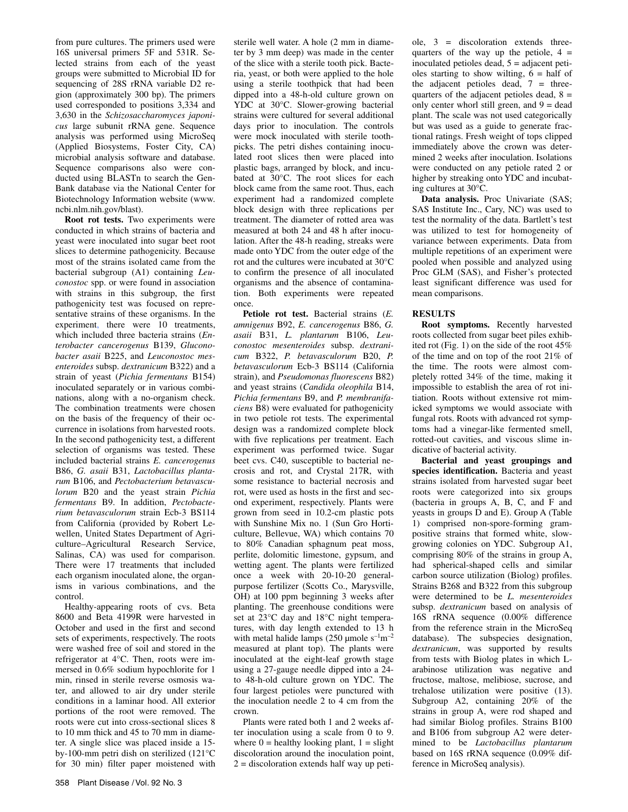from pure cultures. The primers used were 16S universal primers 5F and 531R. Selected strains from each of the yeast groups were submitted to Microbial ID for sequencing of 28S rRNA variable D2 region (approximately 300 bp). The primers used corresponded to positions 3,334 and 3,630 in the *Schizosaccharomyces japonicus* large subunit rRNA gene. Sequence analysis was performed using MicroSeq (Applied Biosystems, Foster City, CA) microbial analysis software and database. Sequence comparisons also were conducted using BLASTn to search the Gen-Bank database via the National Center for Biotechnology Information website (www. ncbi.nlm.nih.gov/blast).

**Root rot tests.** Two experiments were conducted in which strains of bacteria and yeast were inoculated into sugar beet root slices to determine pathogenicity. Because most of the strains isolated came from the bacterial subgroup (A1) containing *Leuconostoc* spp. or were found in association with strains in this subgroup, the first pathogenicity test was focused on representative strains of these organisms. In the experiment, there were 10 treatments, which included three bacteria strains (*Enterobacter cancerogenus* B139, *Gluconobacter asaii* B225, and *Leuconostoc mesenteroides* subsp. *dextranicum* B322) and a strain of yeast (*Pichia fermentans* B154) inoculated separately or in various combinations, along with a no-organism check. The combination treatments were chosen on the basis of the frequency of their occurrence in isolations from harvested roots. In the second pathogenicity test, a different selection of organisms was tested. These included bacterial strains *E. cancerogenus* B86, *G. asaii* B31, *Lactobacillus plantarum* B106, and *Pectobacterium betavasculorum* B20 and the yeast strain *Pichia fermentans* B9. In addition, *Pectobacterium betavasculorum* strain Ecb-3 BS114 from California (provided by Robert Lewellen, United States Department of Agriculture–Agricultural Research Service, Salinas, CA) was used for comparison. There were 17 treatments that included each organism inoculated alone, the organisms in various combinations, and the control.

Healthy-appearing roots of cvs. Beta 8600 and Beta 4199R were harvested in October and used in the first and second sets of experiments, respectively. The roots were washed free of soil and stored in the refrigerator at 4°C. Then, roots were immersed in 0.6% sodium hypochlorite for 1 min, rinsed in sterile reverse osmosis water, and allowed to air dry under sterile conditions in a laminar hood. All exterior portions of the root were removed. The roots were cut into cross-sectional slices 8 to 10 mm thick and 45 to 70 mm in diameter. A single slice was placed inside a 15 by-100-mm petri dish on sterilized (121°C for 30 min) filter paper moistened with

sterile well water. A hole (2 mm in diameter by 3 mm deep) was made in the center of the slice with a sterile tooth pick. Bacteria, yeast, or both were applied to the hole using a sterile toothpick that had been dipped into a 48-h-old culture grown on YDC at 30°C. Slower-growing bacterial strains were cultured for several additional days prior to inoculation. The controls were mock inoculated with sterile toothpicks. The petri dishes containing inoculated root slices then were placed into plastic bags, arranged by block, and incubated at 30°C. The root slices for each block came from the same root. Thus, each experiment had a randomized complete block design with three replications per treatment. The diameter of rotted area was measured at both 24 and 48 h after inoculation. After the 48-h reading, streaks were made onto YDC from the outer edge of the rot and the cultures were incubated at 30°C to confirm the presence of all inoculated organisms and the absence of contamination. Both experiments were repeated once.

**Petiole rot test.** Bacterial strains (*E. amnigenus* B92, *E. cancerogenus* B86, *G. asaii* B31, *L. plantarum* B106, *Leuconostoc mesenteroides* subsp. *dextranicum* B322, *P. betavasculorum* B20, *P. betavasculorum* Ecb-3 BS114 (California strain), and *Pseudomonas fluorescens* B82) and yeast strains (*Candida oleophila* B14, *Pichia fermentans* B9, and *P. membranifaciens* B8) were evaluated for pathogenicity in two petiole rot tests. The experimental design was a randomized complete block with five replications per treatment. Each experiment was performed twice. Sugar beet cvs. C40, susceptible to bacterial necrosis and rot, and Crystal 217R, with some resistance to bacterial necrosis and rot, were used as hosts in the first and second experiment, respectively. Plants were grown from seed in 10.2-cm plastic pots with Sunshine Mix no. 1 (Sun Gro Horticulture, Bellevue, WA) which contains 70 to 80% Canadian sphagnum peat moss, perlite, dolomitic limestone, gypsum, and wetting agent. The plants were fertilized once a week with 20-10-20 generalpurpose fertilizer (Scotts Co., Marysville, OH) at 100 ppm beginning 3 weeks after planting. The greenhouse conditions were set at 23°C day and 18°C night temperatures, with day length extended to 13 h with metal halide lamps (250 µmole  $s^{-1}m^{-2}$ measured at plant top). The plants were inoculated at the eight-leaf growth stage using a 27-gauge needle dipped into a 24 to 48-h-old culture grown on YDC. The four largest petioles were punctured with the inoculation needle 2 to 4 cm from the crown.

Plants were rated both 1 and 2 weeks after inoculation using a scale from 0 to 9. where  $0 =$  healthy looking plant,  $1 =$  slight discoloration around the inoculation point,  $2 =$  discoloration extends half way up peti-

ole, 3 = discoloration extends threequarters of the way up the petiole,  $4 =$ inoculated petioles dead, 5 = adjacent petioles starting to show wilting,  $6 = \text{half of}$ the adjacent petioles dead,  $7 =$  threequarters of the adjacent petioles dead,  $8 =$ only center whorl still green, and  $9 = dead$ plant. The scale was not used categorically but was used as a guide to generate fractional ratings. Fresh weight of tops clipped immediately above the crown was determined 2 weeks after inoculation. Isolations were conducted on any petiole rated 2 or higher by streaking onto YDC and incubating cultures at 30°C.

**Data analysis.** Proc Univariate (SAS; SAS Institute Inc., Cary, NC) was used to test the normality of the data. Bartlett's test was utilized to test for homogeneity of variance between experiments. Data from multiple repetitions of an experiment were pooled when possible and analyzed using Proc GLM (SAS), and Fisher's protected least significant difference was used for mean comparisons.

## **RESULTS**

**Root symptoms.** Recently harvested roots collected from sugar beet piles exhibited rot (Fig. 1) on the side of the root 45% of the time and on top of the root 21% of the time. The roots were almost completely rotted 34% of the time, making it impossible to establish the area of rot initiation. Roots without extensive rot mimicked symptoms we would associate with fungal rots. Roots with advanced rot symptoms had a vinegar-like fermented smell, rotted-out cavities, and viscous slime indicative of bacterial activity.

**Bacterial and yeast groupings and species identification.** Bacteria and yeast strains isolated from harvested sugar beet roots were categorized into six groups (bacteria in groups A, B, C, and F and yeasts in groups D and E). Group A (Table 1) comprised non-spore-forming grampositive strains that formed white, slowgrowing colonies on YDC. Subgroup A1, comprising 80% of the strains in group A, had spherical-shaped cells and similar carbon source utilization (Biolog) profiles. Strains B268 and B322 from this subgroup were determined to be *L. mesenteroides* subsp. *dextranicum* based on analysis of 16S rRNA sequence (0.00% difference from the reference strain in the MicroSeq database). The subspecies designation, *dextranicum*, was supported by results from tests with Biolog plates in which Larabinose utilization was negative and fructose, maltose, melibiose, sucrose, and trehalose utilization were positive (13). Subgroup A2, containing 20% of the strains in group A, were rod shaped and had similar Biolog profiles. Strains B100 and B106 from subgroup A2 were determined to be *Lactobacillus plantarum* based on 16S rRNA sequence (0.09% difference in MicroSeq analysis).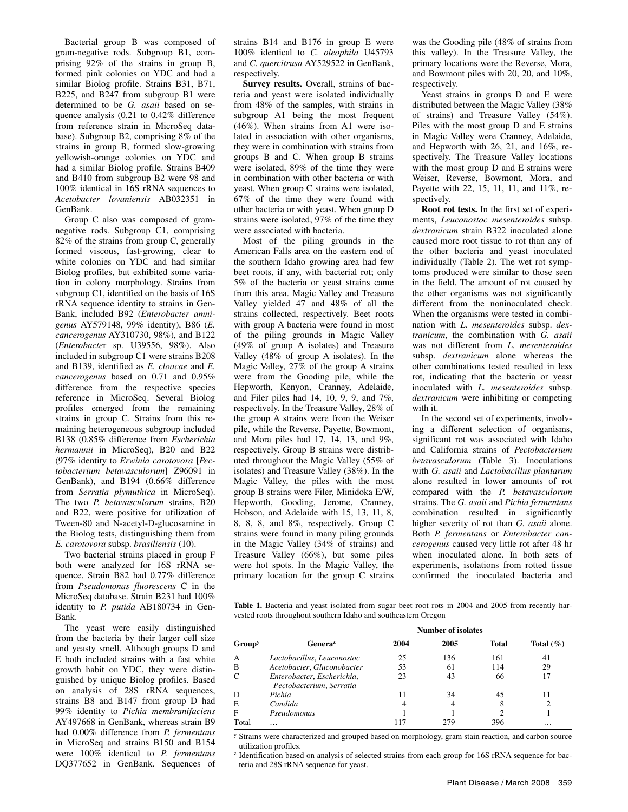Bacterial group B was composed of gram-negative rods. Subgroup B1, comprising 92% of the strains in group B, formed pink colonies on YDC and had a similar Biolog profile. Strains B31, B71, B225, and B247 from subgroup B1 were determined to be *G. asaii* based on sequence analysis (0.21 to 0.42% difference from reference strain in MicroSeq database). Subgroup B2, comprising 8% of the strains in group B, formed slow-growing yellowish-orange colonies on YDC and had a similar Biolog profile. Strains B409 and B410 from subgroup B2 were 98 and 100% identical in 16S rRNA sequences to *Acetobacter lovaniensis* AB032351 in GenBank.

Group C also was composed of gramnegative rods. Subgroup C1, comprising 82% of the strains from group C, generally formed viscous, fast-growing, clear to white colonies on YDC and had similar Biolog profiles, but exhibited some variation in colony morphology. Strains from subgroup C1, identified on the basis of 16S rRNA sequence identity to strains in Gen-Bank, included B92 (*Enterobacter amnigenus* AY579148, 99% identity), B86 (*E. cancerogenus* AY310730, 98%), and B122 (*Enterobacte*r sp. U39556, 98%). Also included in subgroup C1 were strains B208 and B139, identified as *E. cloacae* and *E. cancerogenus* based on 0.71 and 0.95% difference from the respective species reference in MicroSeq. Several Biolog profiles emerged from the remaining strains in group C. Strains from this remaining heterogeneous subgroup included B138 (0.85% difference from *Escherichia hermannii* in MicroSeq), B20 and B22 (97% identity to *Erwinia carotovora* [*Pectobacterium betavasculorum*] Z96091 in GenBank), and B194 (0.66% difference from *Serratia plymuthica* in MicroSeq). The two *P. betavasculorum* strains, B20 and B22, were positive for utilization of Tween-80 and N-acetyl-D-glucosamine in the Biolog tests, distinguishing them from *E. carotovora* subsp. *brasiliensis* (10).

Two bacterial strains placed in group F both were analyzed for 16S rRNA sequence. Strain B82 had 0.77% difference from *Pseudomonas fluorescens* C in the MicroSeq database. Strain B231 had 100% identity to *P. putida* AB180734 in Gen-Bank.

The yeast were easily distinguished from the bacteria by their larger cell size and yeasty smell. Although groups D and E both included strains with a fast white growth habit on YDC, they were distinguished by unique Biolog profiles. Based on analysis of 28S rRNA sequences, strains B8 and B147 from group D had 99% identity to *Pichia membranifaciens* AY497668 in GenBank, whereas strain B9 had 0.00% difference from *P. fermentans* in MicroSeq and strains B150 and B154 were 100% identical to *P. fermentans* DQ377652 in GenBank. Sequences of

strains B14 and B176 in group E were 100% identical to *C. oleophila* U45793 and *C. quercitrusa* AY529522 in GenBank, respectively.

**Survey results.** Overall, strains of bacteria and yeast were isolated individually from 48% of the samples, with strains in subgroup A1 being the most frequent (46%). When strains from A1 were isolated in association with other organisms, they were in combination with strains from groups B and C. When group B strains were isolated, 89% of the time they were in combination with other bacteria or with yeast. When group C strains were isolated, 67% of the time they were found with other bacteria or with yeast. When group D strains were isolated, 97% of the time they were associated with bacteria.

Most of the piling grounds in the American Falls area on the eastern end of the southern Idaho growing area had few beet roots, if any, with bacterial rot; only 5% of the bacteria or yeast strains came from this area. Magic Valley and Treasure Valley yielded 47 and 48% of all the strains collected, respectively. Beet roots with group A bacteria were found in most of the piling grounds in Magic Valley (49% of group A isolates) and Treasure Valley (48% of group A isolates). In the Magic Valley, 27% of the group A strains were from the Gooding pile, while the Hepworth, Kenyon, Cranney, Adelaide, and Filer piles had 14, 10, 9, 9, and 7%, respectively. In the Treasure Valley, 28% of the group A strains were from the Weiser pile, while the Reverse, Payette, Bowmont, and Mora piles had 17, 14, 13, and 9%, respectively. Group B strains were distributed throughout the Magic Valley (55% of isolates) and Treasure Valley (38%). In the Magic Valley, the piles with the most group B strains were Filer, Minidoka E/W, Hepworth, Gooding, Jerome, Cranney, Hobson, and Adelaide with 15, 13, 11, 8, 8, 8, 8, and 8%, respectively. Group C strains were found in many piling grounds in the Magic Valley (34% of strains) and Treasure Valley (66%), but some piles were hot spots. In the Magic Valley, the primary location for the group C strains was the Gooding pile (48% of strains from this valley). In the Treasure Valley, the primary locations were the Reverse, Mora, and Bowmont piles with 20, 20, and 10%, respectively.

Yeast strains in groups D and E were distributed between the Magic Valley (38% of strains) and Treasure Valley (54%). Piles with the most group D and E strains in Magic Valley were Cranney, Adelaide, and Hepworth with 26, 21, and 16%, respectively. The Treasure Valley locations with the most group D and E strains were Weiser, Reverse, Bowmont, Mora, and Payette with 22, 15, 11, 11, and 11%, respectively.

**Root rot tests.** In the first set of experiments, *Leuconostoc mesenteroides* subsp. *dextranicum* strain B322 inoculated alone caused more root tissue to rot than any of the other bacteria and yeast inoculated individually (Table 2). The wet rot symptoms produced were similar to those seen in the field. The amount of rot caused by the other organisms was not significantly different from the noninoculated check. When the organisms were tested in combination with *L. mesenteroides* subsp. *dextranicum*, the combination with *G. asaii*  was not different from *L. mesenteroides*  subsp. *dextranicum* alone whereas the other combinations tested resulted in less rot, indicating that the bacteria or yeast inoculated with *L. mesenteroides* subsp. *dextranicum* were inhibiting or competing with it.

In the second set of experiments, involving a different selection of organisms, significant rot was associated with Idaho and California strains of *Pectobacterium betavasculorum* (Table 3). Inoculations with *G. asaii* and *Lactobacillus plantarum* alone resulted in lower amounts of rot compared with the *P. betavasculorum* strains. The *G. asaii* and *Pichia fermentans* combination resulted in significantly higher severity of rot than *G. asaii* alone. Both *P. fermentans* or *Enterobacter cancerogenus* caused very little rot after 48 hr when inoculated alone. In both sets of experiments, isolations from rotted tissue confirmed the inoculated bacteria and

Table 1. Bacteria and yeast isolated from sugar beet root rots in 2004 and 2005 from recently harvested roots throughout southern Idaho and southeastern Oregon

|                           |                                                        | <b>Number of isolates</b> |      |              |              |
|---------------------------|--------------------------------------------------------|---------------------------|------|--------------|--------------|
| <b>Group</b> <sup>y</sup> | Genera <sup>z</sup>                                    | 2004                      | 2005 | <b>Total</b> | Total $(\%)$ |
| А                         | Lactobacillus, Leuconostoc                             | 25                        | 136  | 161          | 41           |
| B                         | Acetobacter, Gluconobacter                             | 53                        | 61   | 114          | 29           |
| C                         | Enterobacter, Escherichia,<br>Pectobacterium, Serratia | 23                        | 43   | 66           | 17           |
| Ð                         | Pichia                                                 | 11                        | 34   | 45           |              |
| E                         | Candida                                                | 4                         | 4    | δ            |              |
| F                         | Pseudomonas                                            |                           |      |              |              |
| Total                     | .                                                      |                           | 279  | 396          | $\cdots$     |

y Strains were characterized and grouped based on morphology, gram stain reaction, and carbon source utilization profiles.

z Identification based on analysis of selected strains from each group for 16S rRNA sequence for bacteria and 28S rRNA sequence for yeast.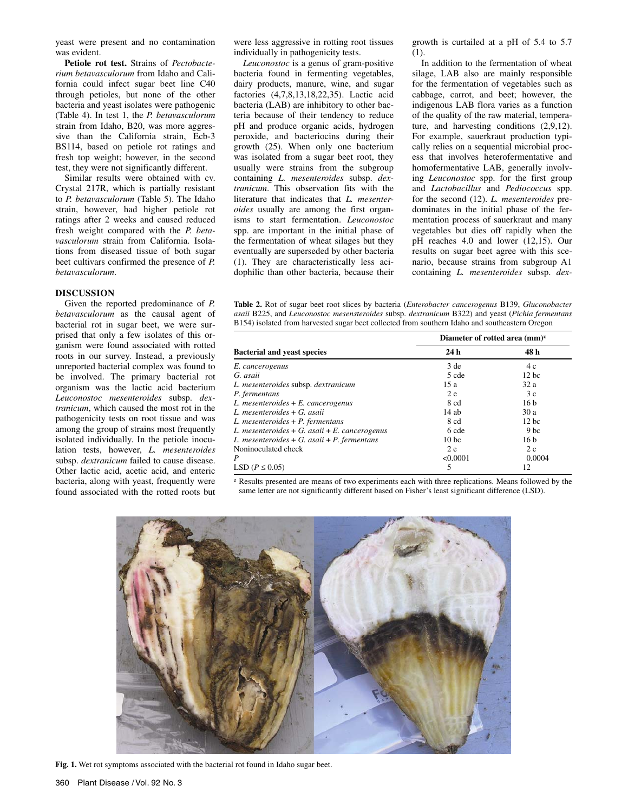yeast were present and no contamination was evident.

**Petiole rot test.** Strains of *Pectobacterium betavasculorum* from Idaho and California could infect sugar beet line C40 through petioles, but none of the other bacteria and yeast isolates were pathogenic (Table 4). In test 1, the *P. betavasculorum* strain from Idaho, B20, was more aggressive than the California strain, Ecb-3 BS114, based on petiole rot ratings and fresh top weight; however, in the second test, they were not significantly different.

Similar results were obtained with cv. Crystal 217R, which is partially resistant to *P. betavasculorum* (Table 5). The Idaho strain, however, had higher petiole rot ratings after 2 weeks and caused reduced fresh weight compared with the *P. betavasculorum* strain from California. Isolations from diseased tissue of both sugar beet cultivars confirmed the presence of *P. betavasculorum*.

## **DISCUSSION**

Given the reported predominance of *P. betavasculorum* as the causal agent of bacterial rot in sugar beet, we were surprised that only a few isolates of this organism were found associated with rotted roots in our survey. Instead, a previously unreported bacterial complex was found to be involved. The primary bacterial rot organism was the lactic acid bacterium *Leuconostoc mesenteroides* subsp. *dextranicum*, which caused the most rot in the pathogenicity tests on root tissue and was among the group of strains most frequently isolated individually. In the petiole inoculation tests, however, *L. mesenteroides* subsp. *dextranicum* failed to cause disease. Other lactic acid, acetic acid, and enteric bacteria, along with yeast, frequently were found associated with the rotted roots but were less aggressive in rotting root tissues individually in pathogenicity tests.

*Leuconostoc* is a genus of gram-positive bacteria found in fermenting vegetables, dairy products, manure, wine, and sugar factories (4,7,8,13,18,22,35). Lactic acid bacteria (LAB) are inhibitory to other bacteria because of their tendency to reduce pH and produce organic acids, hydrogen peroxide, and bacteriocins during their growth (25). When only one bacterium was isolated from a sugar beet root, they usually were strains from the subgroup containing *L. mesenteroides* subsp. *dextranicum*. This observation fits with the literature that indicates that *L. mesenteroides* usually are among the first organisms to start fermentation. *Leuconostoc* spp. are important in the initial phase of the fermentation of wheat silages but they eventually are superseded by other bacteria (1). They are characteristically less acidophilic than other bacteria, because their growth is curtailed at a pH of 5.4 to 5.7 (1).

In addition to the fermentation of wheat silage, LAB also are mainly responsible for the fermentation of vegetables such as cabbage, carrot, and beet; however, the indigenous LAB flora varies as a function of the quality of the raw material, temperature, and harvesting conditions (2,9,12). For example, sauerkraut production typically relies on a sequential microbial process that involves heterofermentative and homofermentative LAB, generally involving *Leuconostoc* spp. for the first group and *Lactobacillus* and *Pediococcus* spp. for the second (12). *L. mesenteroides* predominates in the initial phase of the fermentation process of sauerkraut and many vegetables but dies off rapidly when the pH reaches 4.0 and lower (12,15). Our results on sugar beet agree with this scenario, because strains from subgroup A1 containing *L. mesenteroides* subsp. *dex-*

**Table 2.** Rot of sugar beet root slices by bacteria (*Enterobacter cancerogenus* B139, *Gluconobacter asaii* B225, and *Leuconostoc mesensteroides* subsp. *dextranicum* B322) and yeast (*Pichia fermentans* B154) isolated from harvested sugar beet collected from southern Idaho and southeastern Oregon

|                                                   | Diameter of rotted area $(mm)^z$ |                 |  |  |
|---------------------------------------------------|----------------------------------|-----------------|--|--|
| <b>Bacterial and yeast species</b>                | 24h                              | 48 h            |  |  |
| E. cancerogenus                                   | 3 de                             | 4 c             |  |  |
| G. asaii                                          | 5 cde                            | $12$ bc         |  |  |
| L. mesenteroides subsp. dextranicum               | 15a                              | 32a             |  |  |
| P. fermentans                                     | 2e                               | 3c              |  |  |
| $L.$ mesenteroides $+ E.$ cancerogenus            | 8 cd                             | 16 <sub>b</sub> |  |  |
| L. mesenteroides $+G$ asaii                       | $14$ ab                          | 30a             |  |  |
| $L.$ mesenteroides + P. fermentans                | 8 cd                             | 12 bc           |  |  |
| L. mesenteroides + G. asaii + E. cancerogenus     | 6 cde                            | 9 <sub>bc</sub> |  |  |
| L. mesenteroides $+ G$ . asaii $+ P$ . fermentans | 10 <sub>bc</sub>                 | 16 <sub>b</sub> |  |  |
| Noninoculated check                               | 2 e                              | 2c              |  |  |
| P                                                 | < 0.0001                         | 0.0004          |  |  |
| LSD ( $P \leq 0.05$ )                             | 5                                | 12              |  |  |

 $z$  Results presented are means of two experiments each with three replications. Means followed by the same letter are not significantly different based on Fisher's least significant difference (LSD).



**Fig. 1.** Wet rot symptoms associated with the bacterial rot found in Idaho sugar beet.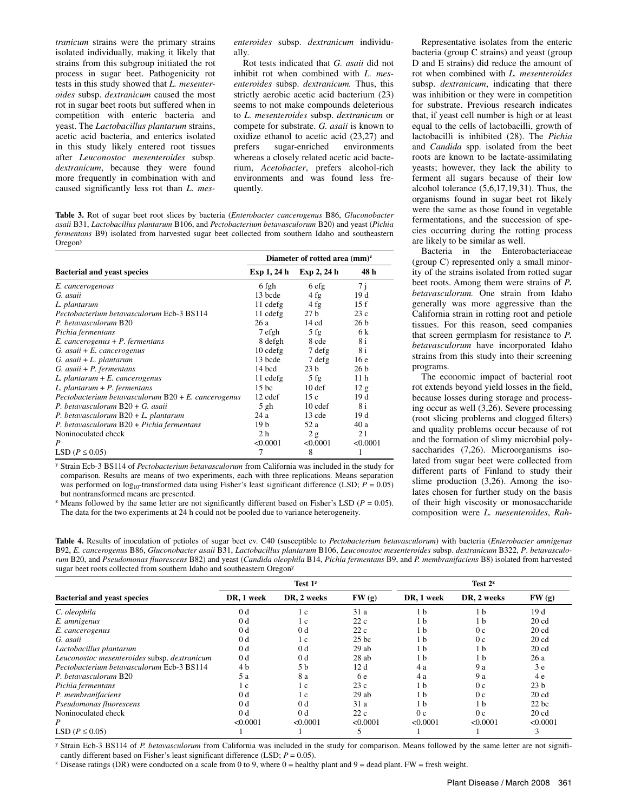*tranicum* strains were the primary strains isolated individually, making it likely that strains from this subgroup initiated the rot process in sugar beet. Pathogenicity rot tests in this study showed that *L. mesenteroides* subsp. *dextranicum* caused the most rot in sugar beet roots but suffered when in competition with enteric bacteria and yeast. The *Lactobacillus plantarum* strains, acetic acid bacteria, and enterics isolated in this study likely entered root tissues after *Leuconostoc mesenteroides* subsp. *dextranicum*, because they were found more frequently in combination with and caused significantly less rot than *L. mes-*

*enteroides* subsp. *dextranicum* individually.

Rot tests indicated that *G. asaii* did not inhibit rot when combined with *L. mesenteroides* subsp. *dextranicum.* Thus, this strictly aerobic acetic acid bacterium (23) seems to not make compounds deleterious to *L. mesenteroides* subsp. *dextranicum* or compete for substrate. *G. asaii* is known to oxidize ethanol to acetic acid (23,27) and<br>prefers sugar-enriched environments sugar-enriched whereas a closely related acetic acid bacterium, *Acetobacter*, prefers alcohol-rich environments and was found less frequently.

**Table 3.** Rot of sugar beet root slices by bacteria (*Enterobacter cancerogenus* B86, *Gluconobacter asaii* B31, *Lactobacillus plantarum* B106, and *Pectobacterium betavasculorum* B20) and yeast (*Pichia fermentans* B9) isolated from harvested sugar beet collected from southern Idaho and southeastern Oregony

|                                                        | Diameter of rotted area $(mm)^z$ |                   |                 |  |
|--------------------------------------------------------|----------------------------------|-------------------|-----------------|--|
| <b>Bacterial and yeast species</b>                     | Exp 1, 24 h                      | Exp 2, 24 h       | 48 h            |  |
| E. cancerogenous                                       | 6 fgh                            | 6 efg             | 7j              |  |
| G. asaii                                               | 13 bcde                          | 4fg               | 19 d            |  |
| L. plantarum                                           | 11 cdefg                         | 4fg               | 15f             |  |
| Pectobacterium betavasculorum Ecb-3 BS114              | 11 cdefg                         | 27 <sub>b</sub>   | 23c             |  |
| P. betavasculorum B20                                  | 26 a                             | 14 cd             | 26 <sub>b</sub> |  |
| Pichia fermentans                                      | 7 efgh                           | $5$ fg            | 6 k             |  |
| $E.$ cancerogenus + P. fermentans                      | 8 defgh                          | 8 cde             | 8i              |  |
| $G.$ asaii + E. cancerogenus                           | $10$ cdefg                       | 7 defg            | 8 i             |  |
| $G.$ asaii + L. plantarum                              | 13 bcde                          | 7 defg            | 16e             |  |
| $G.$ asaii + P. fermentans                             | 14 bcd                           | 23 <sub>h</sub>   | 26h             |  |
| $L.$ plantarum + $E.$ cancerogenus                     | 11 cdefg                         | $5$ fg            | 11 <sub>h</sub> |  |
| $L.$ plantarum + P. fermentans                         | 15 <sub>bc</sub>                 | 10 <sub>def</sub> | 12 g            |  |
| Pectobacterium betavasculorum $B20 + E$ . cancerogenus | 12 cdef                          | 15c               | 19d             |  |
| P. betavasculorum $B20 + G$ . asaii                    | $5$ gh                           | 10 cdef           | 8 i             |  |
| P. betavasculorum $B20 + L$ . plantarum                | 24a                              | 13 cde            | 19d             |  |
| P. betavasculorum B20 + Pichia fermentans              | 19 <sub>b</sub>                  | 52 a              | 40 a            |  |
| Noninoculated check                                    | 2 <sub>h</sub>                   | 2g                | 21              |  |
| P                                                      | < 0.0001                         | < 0.0001          | < 0.0001        |  |
| LSD ( $P \leq 0.05$ )                                  | 7                                | 8                 |                 |  |

y Strain Ecb-3 BS114 of *Pectobacterium betavasculorum* from California was included in the study for comparison. Results are means of two experiments, each with three replications. Means separation was performed on  $log_{10}$ -transformed data using Fisher's least significant difference (LSD;  $P = 0.05$ ) but nontransformed means are presented.

 $\mu$  Means followed by the same letter are not significantly different based on Fisher's LSD ( $P = 0.05$ ). The data for the two experiments at 24 h could not be pooled due to variance heterogeneity.

Representative isolates from the enteric bacteria (group C strains) and yeast (group D and E strains) did reduce the amount of rot when combined with *L. mesenteroides* subsp. *dextranicum*, indicating that there was inhibition or they were in competition for substrate. Previous research indicates that, if yeast cell number is high or at least equal to the cells of lactobacilli, growth of lactobacilli is inhibited (28). The *Pichia* and *Candida* spp. isolated from the beet roots are known to be lactate-assimilating yeasts; however, they lack the ability to ferment all sugars because of their low alcohol tolerance (5,6,17,19,31). Thus, the organisms found in sugar beet rot likely were the same as those found in vegetable fermentations, and the succession of species occurring during the rotting process are likely to be similar as well.

Bacteria in the Enterobacteriaceae (group C) represented only a small minority of the strains isolated from rotted sugar beet roots. Among them were strains of *P. betavasculorum.* One strain from Idaho generally was more aggressive than the California strain in rotting root and petiole tissues. For this reason, seed companies that screen germplasm for resistance to *P. betavasculorum* have incorporated Idaho strains from this study into their screening programs.

The economic impact of bacterial root rot extends beyond yield losses in the field, because losses during storage and processing occur as well (3,26). Severe processing (root slicing problems and clogged filters) and quality problems occur because of rot and the formation of slimy microbial polysaccharides (7,26). Microorganisms isolated from sugar beet were collected from different parts of Finland to study their slime production (3,26). Among the isolates chosen for further study on the basis of their high viscosity or monosaccharide composition were *L. mesenteroides*, *Rah-*

**Table 4.** Results of inoculation of petioles of sugar beet cv. C40 (susceptible to *Pectobacterium betavasculorum*) with bacteria (*Enterobacter amnigenus* B92, *E. cancerogenus* B86, *Gluconobacter asaii* B31, *Lactobacillus plantarum* B106, *Leuconostoc mesenteroides* subsp. *dextranicum* B322, *P*. *betavasculorum* B20, and *Pseudomonas fluorescens* B82) and yeast (*Candida oleophila* B14, *Pichia fermentans* B9, and *P. membranifaciens* B8) isolated from harvested sugar beet roots collected from southern Idaho and southeastern Oregon<sup>y</sup>

|                                              | Test 1 <sup>z</sup> |                |          | Test $2^z$     |                |                  |
|----------------------------------------------|---------------------|----------------|----------|----------------|----------------|------------------|
| <b>Bacterial and yeast species</b>           | DR, 1 week          | DR, 2 weeks    | FW(g)    | DR, 1 week     | DR, 2 weeks    | FW(g)            |
| C. oleophila                                 | 0 <sub>d</sub>      | 1 c            | 31a      | 1 <sub>b</sub> | 1 <sub>b</sub> | 19 d             |
| E. amnigenus                                 | 0 <sub>d</sub>      | 1 c            | 22c      | 1 <sub>b</sub> | 1 <sub>b</sub> | 20 <sub>cd</sub> |
| E. cancerogenus                              | 0 <sub>d</sub>      | 0 <sub>d</sub> | 22c      | 1 <sub>b</sub> | 0 <sub>c</sub> | 20 <sub>cd</sub> |
| G. asaii                                     | 0 <sub>d</sub>      | 1 c            | $25$ bc  | 1 <sub>b</sub> | 0 <sub>c</sub> | 20 <sub>cd</sub> |
| Lactobacillus plantarum                      | 0 <sub>d</sub>      | 0 <sub>d</sub> | 29ab     | 1 <sub>b</sub> | 1 <sub>b</sub> | 20 <sub>cd</sub> |
| Leuconostoc mesenteroides subsp. dextranicum | 0 <sub>d</sub>      | 0 <sub>d</sub> | 28ab     | 1 <sub>b</sub> | 1 <sub>b</sub> | 26a              |
| Pectobacterium betavasculorum Ecb-3 BS114    | 4 b                 | 5 <sub>b</sub> | 12d      | 4a             | 9 a            | 3e               |
| P. betavasculorum B20                        | 5 a                 | 8 a            | 6 e      | 4 a            | 9 a            | 4 e              |
| Pichia fermentans                            | 1 c                 | 1 c            | 23c      | 1 <sub>b</sub> | 0 <sub>c</sub> | 23 <sub>b</sub>  |
| P. membranifaciens                           | 0 <sub>d</sub>      | 1 c            | 29ab     | 1 <sub>b</sub> | 0 <sub>c</sub> | 20 <sub>cd</sub> |
| Pseudomonas fluorescens                      | 0 <sub>d</sub>      | 0 <sub>d</sub> | 31a      | 1 <sub>b</sub> | 1 <sub>b</sub> | $22$ bc          |
| Noninoculated check                          | 0 <sub>d</sub>      | 0 <sub>d</sub> | 22c      | 0 <sub>c</sub> | 0 <sub>c</sub> | 20 <sub>cd</sub> |
| P                                            | < 0.0001            | < 0.0001       | < 0.0001 | < 0.0001       | < 0.0001       | < 0.0001         |
| LSD ( $P \leq 0.05$ )                        |                     |                | 5        |                |                | 3                |

y Strain Ecb-3 BS114 of *P. betavasculorum* from California was included in the study for comparison. Means followed by the same letter are not signifi-

<sup>z</sup> Disease ratings (DR) were conducted on a scale from 0 to 9, where  $0 =$  healthy plant and  $9 =$  dead plant. FW = fresh weight.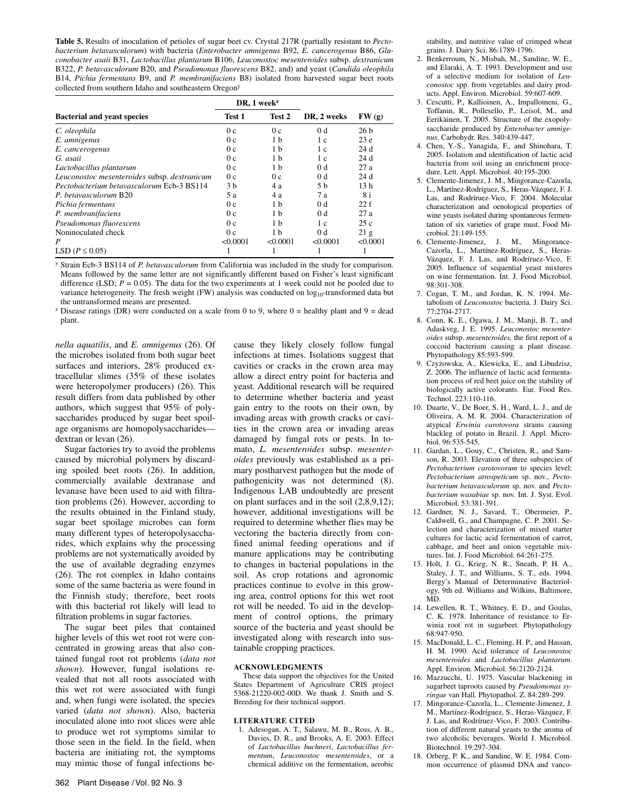**Table 5.** Results of inoculation of petioles of sugar beet cv. Crystal 217R (partially resistant to *Pectobacterium betavasculorum*) with bacteria (*Enterobacter amnigenus* B92, *E. cancerogenus* B86, *Gluconobacter asaii* B31, *Lactobacillus plantarum* B106, *Leuconostoc mesenteroides* subsp. *dextranicum* B322, *P. betavasculorum* B20, and *Pseudomonas fluorescens* B82, and) and yeast (*Candida oleophila*  B14, *Pichia fermentans* B9, and *P. membranifaciens* B8) isolated from harvested sugar beet roots collected from southern Idaho and southeastern Oregony

|                                              |                  | DR, $1$ week <sup>z</sup> |                |                 |
|----------------------------------------------|------------------|---------------------------|----------------|-----------------|
| <b>Bacterial and yeast species</b>           | Test 2<br>Test 1 |                           | DR, 2 weeks    | FW(g)           |
| C. oleophila                                 | 0 <sub>c</sub>   | 0 <sub>c</sub>            | 0 <sub>d</sub> | 26h             |
| E. amnigenus                                 | 0 <sub>c</sub>   | 1 <sub>b</sub>            | 1 c            | 23e             |
| E. cancerogenus                              | 0c               | 1 <sub>b</sub>            | 1 c            | 24d             |
| G. asaii                                     | 0 <sub>c</sub>   | 1 <sub>b</sub>            | 1 c            | 24d             |
| Lactobacillus plantarum                      | 0c               | 1 <sub>b</sub>            | 0 <sub>d</sub> | 27a             |
| Leuconostoc mesenteroides subsp. dextranicum | 0c               | 0c                        | 0 <sub>d</sub> | 24d             |
| Pectobacterium betavasculorum Ecb-3 BS114    | 3 <sub>h</sub>   | 4 a                       | 5 h            | 13 <sub>h</sub> |
| P. betavasculorum B20                        | 5 a              | 4 a                       | 7а             | 8 i             |
| Pichia fermentans                            | 0c               | 1 <sub>b</sub>            | 0 <sub>d</sub> | 22f             |
| P. membranifaciens                           | 0 <sub>c</sub>   | 1 <sub>b</sub>            | 0 <sub>d</sub> | 27a             |
| Pseudomonas fluorescens                      | 0 <sub>c</sub>   | 1 <sub>b</sub>            | 1 c            | 25c             |
| Noninoculated check                          | 0 <sub>c</sub>   | 1 <sub>b</sub>            | 0 <sub>d</sub> | 21 g            |
| P                                            | < 0.0001         | < 0.0001                  | < 0.0001       | < 0.0001        |
| LSD ( $P \leq 0.05$ )                        |                  |                           |                |                 |

y Strain Ecb-3 BS114 of *P. betavasculorum* from California was included in the study for comparison. Means followed by the same letter are not significantly different based on Fisher's least significant difference (LSD;  $P = 0.05$ ). The data for the two experiments at 1 week could not be pooled due to variance heterogeneity. The fresh weight (FW) analysis was conducted on  $log_{10}$ -transformed data but the untransformed means are presented.

<sup>z</sup> Disease ratings (DR) were conducted on a scale from 0 to 9, where  $0 =$  healthy plant and  $9 =$  dead plant.

*nella aquatilis*, and *E. amnigenus* (26). Of the microbes isolated from both sugar beet surfaces and interiors, 28% produced extracellular slimes (35% of these isolates were heteropolymer producers) (26). This result differs from data published by other authors, which suggest that 95% of polysaccharides produced by sugar beet spoilage organisms are homopolysaccharides dextran or levan (26).

Sugar factories try to avoid the problems caused by microbial polymers by discarding spoiled beet roots (26). In addition, commercially available dextranase and levanase have been used to aid with filtration problems (26). However, according to the results obtained in the Finland study, sugar beet spoilage microbes can form many different types of heteropolysaccharides, which explains why the processing problems are not systematically avoided by the use of available degrading enzymes (26). The rot complex in Idaho contains some of the same bacteria as were found in the Finnish study; therefore, beet roots with this bacterial rot likely will lead to filtration problems in sugar factories.

The sugar beet piles that contained higher levels of this wet root rot were concentrated in growing areas that also contained fungal root rot problems (*data not shown*). However, fungal isolations revealed that not all roots associated with this wet rot were associated with fungi and, when fungi were isolated, the species varied (*data not shown*). Also, bacteria inoculated alone into root slices were able to produce wet rot symptoms similar to those seen in the field. In the field, when bacteria are initiating rot, the symptoms may mimic those of fungal infections because they likely closely follow fungal infections at times. Isolations suggest that cavities or cracks in the crown area may allow a direct entry point for bacteria and yeast. Additional research will be required to determine whether bacteria and yeast gain entry to the roots on their own, by invading areas with growth cracks or cavities in the crown area or invading areas damaged by fungal rots or pests. In tomato, *L. mesenteroides* subsp. *mesenteroides* previously was established as a primary postharvest pathogen but the mode of pathogenicity was not determined (8). Indigenous LAB undoubtedly are present on plant surfaces and in the soil (2,8,9,12); however, additional investigations will be required to determine whether flies may be vectoring the bacteria directly from confined animal feeding operations and if manure applications may be contributing to changes in bacterial populations in the soil. As crop rotations and agronomic practices continue to evolve in this growing area, control options for this wet root rot will be needed. To aid in the development of control options, the primary source of the bacteria and yeast should be investigated along with research into sustainable cropping practices.

### **ACKNOWLEDGMENTS**

These data support the objectives for the United States Department of Agriculture CRIS project 5368-21220-002-00D. We thank J. Smith and S. Breeding for their technical support.

#### **LITERATURE CITED**

1. Adesogan, A. T., Salawu, M. B., Ross, A. B., Davies, D. R., and Brooks, A. E. 2003. Effect of *Lactobacillus buchneri*, *Lactobacillus fermentum*, *Leuconostoc mesenteroides*, or a chemical additive on the fermentation, aerobic

stability, and nutritive value of crimped wheat grains. J. Dairy Sci. 86:1789-1796.

- 2. Benkerroum, N., Misbah, M., Sandine, W. E., and Elaraki, A. T. 1993. Development and use of a selective medium for isolation of *Leuconostoc* spp. from vegetables and dairy products. Appl. Environ. Microbiol. 59:607-609.
- 3. Cescutti, P., Kallioinen, A., Impallomeni, G., Toffanin, R., Pollesello, P., Leisol, M., and Eerikäinen, T. 2005. Structure of the exopolysaccharide produced by *Enterobacter amnigenus*. Carbohydr. Res. 340:439-447.
- 4. Chen, Y.-S., Yanagida, F., and Shinohara, T. 2005. Isolation and identification of lactic acid bacteria from soil using an enrichment procedure. Lett. Appl. Microbiol. 40:195-200.
- 5. Clemente-Jimenez, J. M., Mingorance-Cazorla, L., Martínez-Rodríguez, S., Heras-Vázquez, F. J. Las, and Rodríruez-Vico, F. 2004. Molecular characterization and oenological properties of wine yeasts isolated during spontaneous fermentation of six varieties of grape must. Food Microbiol. 21:149-155.
- 6. Clemente-Jimenez, J. M., Mingorance-Cazorla, L., Martínez-Rodríguez, S., Heras-Vázquez, F. J. Las, and Rodríruez-Vico, F. 2005. Influence of sequential yeast mixtures on wine fermentation. Int. J. Food Microbiol. 98:301-308.
- 7. Cogan, T. M., and Jordan, K. N. 1994. Metabolism of *Leuconostoc* bacteria. J. Dairy Sci. 77:2704-2717.
- 8. Conn, K. E., Ogawa, J. M., Manji, B. T., and Adaskveg, J. E. 1995. *Leuconostoc mesenteroides* subsp. *mesenteroides,* the first report of a coccoid bacterium causing a plant disease. Phytopathology 85:593-599*.*
- 9. Czyżowska, A., Klewicka, E., and Libudzisz, Z. 2006. The influence of lactic acid fermentation process of red beet juice on the stability of biologically active colorants. Eur. Food Res. Technol. 223:110-116.
- 10. Duarte, V., De Boer, S. H., Ward, L. J., and de Oliveira, A. M. R. 2004. Characterization of atypical *Erwinia carotovora* strains causing blackleg of potato in Brazil. J. Appl. Microbiol. 96:535-545.
- 11. Gardan, L., Gouy, C., Christen, R., and Samson, R. 2003. Elevation of three subspecies of *Pectobacterium carotovorum* to species level: *Pectobacterium atrospeticum* sp. nov., *Pectobacterium betavasculorum* sp. nov. and *Pectobacterium wasabiae* sp. nov. Int. J. Syst. Evol. Microbiol. 53:381-391.
- 12. Gardner, N. J., Savard, T., Obermeier, P., Caldwell, G., and Champagne, C. P. 2001. Selection and characterization of mixed starter cultures for lactic acid fermentation of carrot, cabbage, and beet and onion vegetable mixtures. Int. J. Food Microbiol. 64:261-275.
- 13. Holt, J. G., Krieg, N. R., Sneath, P. H. A., Staley, J. T., and Williams, S. T., eds. 1994. Bergy's Manual of Determinative Bacteriology, 9th ed. Williams and Wilkins, Baltimore, MD.
- 14. Lewellen, R. T., Whitney, E. D., and Goulas, C. K. 1978. Inheritance of resistance to Erwinia root rot in sugarbeet. Phytopathology 68:947-950.
- 15. MacDonald, L. C., Fleming, H. P., and Hassan, H. M. 1990. Acid tolerance of *Leuconostoc mesenteroides* and *Lactobacillus plantarum*. Appl. Environ. Microbiol. 56:2120-2124.
- 16. Mazzucchi, U. 1975. Vascular blackening in sugarbeet taproots caused by *Pseudomonas syringae* van Hall. Phytopathol. Z. 84:289-299.
- 17. Mingorance-Cazorla, L., Clemente-Jimenez, J. M., Martínez-Rodríguez, S., Heras-Vázquez, F. J. Las, and Rodríruez-Vico, F. 2003. Contribution of different natural yeasts to the aroma of two alcoholic beverages. World J. Microbiol. Biotechnol. 19:297-304.
- 18. Orberg, P. K., and Sandine, W. E. 1984. Common occurrence of plasmid DNA and vanco-